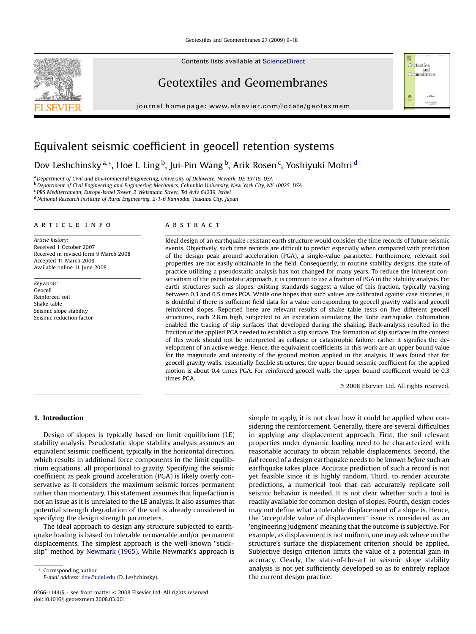### Geotextiles and Geomembranes 27 (2009) 9–18

Contents lists available at [ScienceDirect](www.sciencedirect.com/science/journal/02661144)

# Geotextiles and Geomembranes

journal homepage: www.elsevier.com/locate/geotexmem



# Equivalent seismic coefficient in geocell retention systems

Dov Leshchinsky<sup>a,</sup>\*, Hoe I. Ling <sup>b</sup>, Jui-Pin Wang <sup>b</sup>, Arik Rosen <sup>c</sup>, Yoshiyuki Mohri <sup>d</sup>

<sup>a</sup> Department of Civil and Environmental Engineering, University of Delaware, Newark, DE 19716, USA <sup>b</sup>Department of Civil Engineering and Engineering Mechanics, Columbia University, New York City, NY 10025, USA <sup>c</sup> PRS Mediterranean, Europe-Israel Tower, 2 Weizmann Street, Tel Aviv 64239, Israel

<sup>d</sup> National Research Institute of Rural Engineering, 2-1-6 Kannodai, Tsukuba City, Japan

### article info

Article history: Received 1 October 2007 Received in revised form 9 March 2008 Accepted 11 March 2008 Available online 11 June 2008

Keywords: Geocell Reinforced soil Shake table Seismic slope stability Seismic reduction factor

### ABSTRACT

Ideal design of an earthquake resistant earth structure would consider the time records of future seismic events. Objectively, such time records are difficult to predict especially when compared with prediction of the design peak ground acceleration (PGA), a single-value parameter. Furthermore, relevant soil properties are not easily obtainable in the field. Consequently, in routine stability designs, the state of practice utilizing a pseudostatic analysis has not changed for many years. To reduce the inherent conservatism of the pseudostatic approach, it is common to use a fraction of PGA in the stability analysis. For earth structures such as slopes, existing standards suggest a value of this fraction, typically varying between 0.3 and 0.5 times PGA. While one hopes that such values are calibrated against case histories, it is doubtful if there is sufficient field data for a value corresponding to geocell gravity walls and geocell reinforced slopes. Reported here are relevant results of shake table tests on five different geocell structures, each 2.8 m high, subjected to an excitation simulating the Kobe earthquake. Exhumation enabled the tracing of slip surfaces that developed during the shaking. Back-analysis resulted in the fraction of the applied PGA needed to establish a slip surface. The formation of slip surfaces in the context of this work should not be interpreted as collapse or catastrophic failure; rather it signifies the development of an active wedge. Hence, the equivalent coefficients in this work are an upper bound value for the magnitude and intensity of the ground motion applied in the analysis. It was found that for geocell gravity walls, essentially flexible structures, the upper bound seismic coefficient for the applied motion is about 0.4 times PGA. For reinforced geocell walls the upper bound coefficient would be 0.3 times PGA.

- 2008 Elsevier Ltd. All rights reserved.

Geotextiles<br>and<br>Geomembranes

 $\frac{1}{6}$   $\frac{1}{6}$   $\frac{1}{10000}$ 

18

### 1. Introduction

Design of slopes is typically based on limit equilibrium (LE) stability analysis. Pseudostatic slope stability analysis assumes an equivalent seismic coefficient, typically in the horizontal direction, which results in additional force components in the limit equilibrium equations, all proportional to gravity. Specifying the seismic coefficient as peak ground acceleration (PGA) is likely overly conservative as it considers the maximum seismic forces permanent rather than momentary. This statement assumes that liquefaction is not an issue as it is unrelated to the LE analysis. It also assumes that potential strength degradation of the soil is already considered in specifying the design strength parameters.

The ideal approach to design any structure subjected to earthquake loading is based on tolerable recoverable and/or permanent displacements. The simplest approach is the well-known ''stick– slip'' method by [Newmark \(1965\).](#page-9-0) While Newmark's approach is

Corresponding author. E-mail address: [dov@udel.edu](mailto:dov@udel.edu) (D. Leshchinsky).

simple to apply, it is not clear how it could be applied when considering the reinforcement. Generally, there are several difficulties in applying any displacement approach. First, the soil relevant properties under dynamic loading need to be characterized with reasonable accuracy to obtain reliable displacements. Second, the full record of a design earthquake needs to be known before such an earthquake takes place. Accurate prediction of such a record is not yet feasible since it is highly random. Third, to render accurate predictions, a numerical tool that can accurately replicate soil seismic behavior is needed. It is not clear whether such a tool is readily available for common design of slopes. Fourth, design codes may not define what a tolerable displacement of a slope is. Hence, the 'acceptable value of displacement' issue is considered as an 'engineering judgment' meaning that the outcome is subjective. For example, as displacement is not uniform, one may ask where on the structure's surface the displacement criterion should be applied. Subjective design criterion limits the value of a potential gain in accuracy. Clearly, the state-of-the-art in seismic slope stability analysis is not yet sufficiently developed so as to entirely replace the current design practice.

<span id="page-0-0"></span>

<sup>0266-1144/\$ –</sup> see front matter © 2008 Elsevier Ltd. All rights reserved. doi:10.1016/j.geotexmem.2008.03.001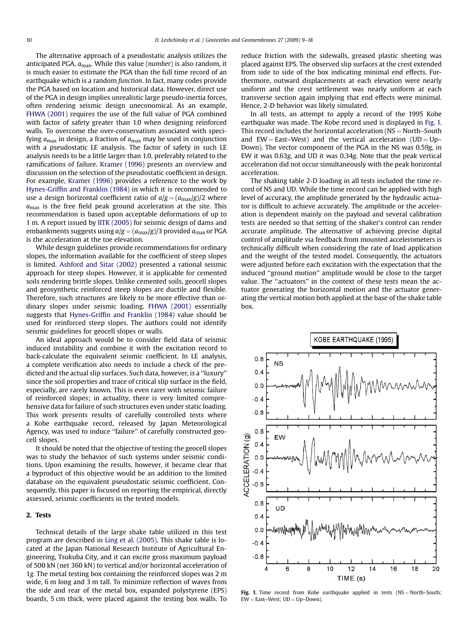<span id="page-1-0"></span>The alternative approach of a pseudostatic analysis utilizes the anticipated PGA,  $a_{\text{max}}$ . While this value (*number*) is also random, it is much easier to estimate the PGA than the full time record of an earthquake which is a random function. In fact, many codes provide the PGA based on location and historical data. However, direct use of the PGA in design implies unrealistic large pseudo-inertia forces, often rendering seismic design uneconomical. As an example, [FHWA \(2001\)](#page-9-0) requires the use of the full value of PGA combined with factor of safety greater than 1.0 when designing reinforced walls. To overcome the over-conservatism associated with specifying  $a_{\text{max}}$  in design, a fraction of  $a_{\text{max}}$  may be used in conjunction with a pseudostatic LE analysis. The factor of safety in such LE analysis needs to be a little larger than 1.0, preferably related to the ramifications of failure. [Kramer \(1996\)](#page-9-0) presents an overview and discussion on the selection of the pseudostatic coefficient in design. For example, [Kramer \(1996\)](#page-9-0) provides a reference to the work by [Hynes-Griffin and Franklin \(1984\)](#page-9-0) in which it is recommended to use a design horizontal coefficient ratio of  $a/g = (a_{max}/g)/2$  where  $a<sub>max</sub>$  is the free field peak ground acceleration at the site. This recommendation is based upon acceptable deformations of up to 1 m. A report issued by [IITK \(2005\)](#page-9-0) for seismic design of dams and embankments suggests using  $a/g = (a_{max}/g)/3$  provided  $a_{max}$  or PGA is the acceleration at the toe elevation.

While design guidelines provide recommendations for ordinary slopes, the information available for the coefficient of steep slopes is limited. [Ashford and Sitar \(2002\)](#page-9-0) presented a rational seismic approach for steep slopes. However, it is applicable for cemented soils rendering brittle slopes. Unlike cemented soils, geocell slopes and geosynthetic reinforced steep slopes are ductile and flexible. Therefore, such structures are likely to be more effective than ordinary slopes under seismic loading. [FHWA \(2001\)](#page-9-0) essentially suggests that [Hynes-Griffin and Franklin \(1984\)](#page-9-0) value should be used for reinforced steep slopes. The authors could not identify seismic guidelines for geocell slopes or walls.

An ideal approach would be to consider field data of seismic induced instability and combine it with the excitation record to back-calculate the equivalent seismic coefficient. In LE analysis, a complete verification also needs to include a check of the predicted and the actual slip surfaces. Such data, however, is a ''luxury'' since the soil properties and trace of critical slip surface in the field, especially, are rarely known. This is even rarer with seismic failure of reinforced slopes; in actuality, there is very limited comprehensive data for failure of such structures even under static loading. This work presents results of carefully controlled tests where a Kobe earthquake record, released by Japan Meteorological Agency, was used to induce "failure" of carefully constructed geocell slopes.

It should be noted that the objective of testing the geocell slopes was to study the behavior of such systems under seismic conditions. Upon examining the results, however, it became clear that a byproduct of this objective would be an addition to the limited database on the equivalent pseudostatic seismic coefficient. Consequently, this paper is focused on reporting the empirical, directly assessed, seismic coefficients in the tested models.

## 2. Tests

Technical details of the large shake table utilized in this test program are described in [Ling et al. \(2005\)](#page-9-0). This shake table is located at the Japan National Research Institute of Agricultural Engineering, Tsukuba City, and it can excite gross maximum payload of 500 kN (net 360 kN) to vertical and/or horizontal acceleration of 1g. The metal testing box containing the reinforced slopes was 2 m wide, 6 m long and 3 m tall. To minimize reflection of waves from the side and rear of the metal box, expanded polystyrene (EPS) boards, 5 cm thick, were placed against the testing box walls. To reduce friction with the sidewalls, greased plastic sheeting was placed against EPS. The observed slip surfaces at the crest extended from side to side of the box indicating minimal end effects. Furthermore, outward displacements at each elevation were nearly uniform and the crest settlement was nearly uniform at each transverse section again implying that end effects were minimal. Hence, 2-D behavior was likely simulated.

In all tests, an attempt to apply a record of the 1995 Kobe earthquake was made. The Kobe record used is displayed in Fig. 1. This record includes the horizontal acceleration ( $NS = North-South$ and  $EW =$  East–West) and the vertical acceleration (UD = Up– Down). The vector component of the PGA in the NS was 0.59g, in EW it was 0.63g, and UD it was 0.34g. Note that the peak vertical acceleration did not occur simultaneously with the peak horizontal acceleration.

The shaking table 2-D loading in all tests included the time record of NS and UD. While the time record can be applied with high level of accuracy, the amplitude generated by the hydraulic actuator is difficult to achieve accurately. The amplitude or the acceleration is dependent mainly on the payload and several calibration tests are needed so that setting of the shaker's control can render accurate amplitude. The alternative of achieving precise digital control of amplitude via feedback from mounted accelerometers is technically difficult when considering the rate of load application and the weight of the tested model. Consequently, the actuators were adjusted before each excitation with the expectation that the induced ''ground motion'' amplitude would be close to the target value. The ''actuators'' in the context of these tests mean the actuator generating the horizontal motion and the actuator generating the vertical motion both applied at the base of the shake table box.



Fig. 1. Time record from Kobe earthquake applied in tests  $(NS = North-South;$  $EW = East-West$ ;  $UD = Up-Down$ ).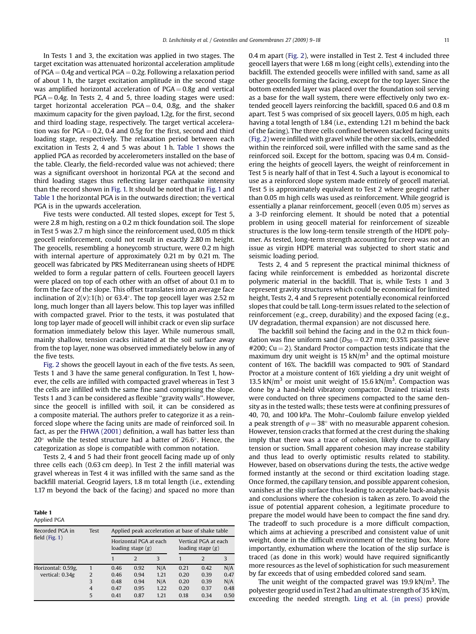<span id="page-2-0"></span>In Tests 1 and 3, the excitation was applied in two stages. The target excitation was attenuated horizontal acceleration amplitude of PGA  $= 0.4$ g and vertical PGA  $= 0.2$ g. Following a relaxation period of about 1 h, the target excitation amplitude in the second stage was amplified horizontal acceleration of  $PGA = 0.8g$  and vertical  $PGA = 0.4g$ . In Tests 2, 4 and 5, three loading stages were used: target horizontal acceleration  $PGA = 0.4$ , 0.8g, and the shaker maximum capacity for the given payload, 1.2g, for the first, second and third loading stage, respectively. The target vertical acceleration was for  $PGA = 0.2$ , 0.4 and 0.5g for the first, second and third loading stage, respectively. The relaxation period between each excitation in Tests 2, 4 and 5 was about 1 h. Table 1 shows the applied PGA as recorded by accelerometers installed on the base of the table. Clearly, the field-recorded value was not achieved; there was a significant overshoot in horizontal PGA at the second and third loading stages thus reflecting larger earthquake intensity than the record shown in [Fig. 1.](#page-1-0) It should be noted that in [Fig. 1](#page-1-0) and Table 1 the horizontal PGA is in the outwards direction; the vertical PGA is in the upwards acceleration.

Five tests were conducted. All tested slopes, except for Test 5, were 2.8 m high, resting on a 0.2 m thick foundation soil. The slope in Test 5 was 2.7 m high since the reinforcement used, 0.05 m thick geocell reinforcement, could not result in exactly 2.80 m height. The geocells, resembling a honeycomb structure, were 0.2 m high with internal aperture of approximately 0.21 m by 0.21 m. The geocell was fabricated by PRS Mediterranean using sheets of HDPE welded to form a regular pattern of cells. Fourteen geocell layers were placed on top of each other with an offset of about 0.1 m to form the face of the slope. This offset translates into an average face inclination of  $2(v)$ :1(h) or 63.4 $^{\circ}$ . The top geocell layer was 2.52 m long, much longer than all layers below. This top layer was infilled with compacted gravel. Prior to the tests, it was postulated that long top layer made of geocell will inhibit crack or even slip surface formation immediately below this layer. While numerous small, mainly shallow, tension cracks initiated at the soil surface away from the top layer, none was observed immediately below in any of the five tests.

[Fig. 2](#page-3-0) shows the geocell layout in each of the five tests. As seen, Tests 1 and 3 have the same general configuration. In Test 1, however, the cells are infilled with compacted gravel whereas in Test 3 the cells are infilled with the same fine sand comprising the slope. Tests 1 and 3 can be considered as flexible ''gravity walls''. However, since the geocell is infilled with soil, it can be considered as a composite material. The authors prefer to categorize it as a reinforced slope where the facing units are made of reinforced soil. In fact, as per the [FHWA \(2001\)](#page-9-0) definition, a wall has batter less than  $20^{\circ}$  while the tested structure had a batter of  $26.6^{\circ}$ . Hence, the categorization as slope is compatible with common notation.

Tests 2, 4 and 5 had their front geocell facing made up of only three cells each (0.63 cm deep). In Test 2 the infill material was gravel whereas in Test 4 it was infilled with the same sand as the backfill material. Geogrid layers, 1.8 m total length (i.e., extending 1.17 m beyond the back of the facing) and spaced no more than

#### Table 1 Applied PGA

| Recorded PGA in<br>field $(Fig, 1)$ | Test           | Applied peak acceleration at base of shake table |               |      |                                             |                |      |
|-------------------------------------|----------------|--------------------------------------------------|---------------|------|---------------------------------------------|----------------|------|
|                                     |                | Horizontal PGA at each<br>loading stage $(g)$    |               |      | Vertical PGA at each<br>loading stage $(g)$ |                |      |
|                                     |                |                                                  | $\mathcal{D}$ | 3    |                                             | $\overline{2}$ | 3    |
| Horizontal: 0.59g,                  |                | 0.46                                             | 0.92          | N/A  | 0.21                                        | 0.42           | N/A  |
| vertical: 0.34g                     | $\mathfrak{D}$ | 0.46                                             | 0.94          | 1.21 | 0.20                                        | 0.39           | 0.47 |
|                                     | 3              | 0.48                                             | 0.94          | N/A  | 0.20                                        | 0.39           | N/A  |
|                                     | $\overline{4}$ | 0.47                                             | 0.95          | 1.22 | 0.20                                        | 0.37           | 0.48 |
|                                     | 5              | 0.41                                             | 0.87          | 1.21 | 0.18                                        | 0.34           | 0.50 |
|                                     |                |                                                  |               |      |                                             |                |      |

0.4 m apart ([Fig. 2\)](#page-3-0), were installed in Test 2. Test 4 included three geocell layers that were 1.68 m long (eight cells), extending into the backfill. The extended geocells were infilled with sand, same as all other geocells forming the facing, except for the top layer. Since the bottom extended layer was placed over the foundation soil serving as a base for the wall system, there were effectively only two extended geocell layers reinforcing the backfill, spaced 0.6 and 0.8 m apart. Test 5 was comprised of six geocell layers, 0.05 m high, each having a total length of 1.84 (i.e., extending 1.21 m behind the back of the facing). The three cells confined between stacked facing units ([Fig. 2\)](#page-3-0) were infilled with gravel while the other six cells, embedded within the reinforced soil, were infilled with the same sand as the reinforced soil. Except for the bottom, spacing was 0.4 m. Considering the heights of geocell layers, the weight of reinforcement in Test 5 is nearly half of that in Test 4. Such a layout is economical to use as a reinforced slope system made entirely of geocell material. Test 5 is approximately equivalent to Test 2 where geogrid rather than 0.05 m high cells was used as reinforcement. While geogrid is essentially a planar reinforcement, geocell (even 0.05 m) serves as a 3-D reinforcing element. It should be noted that a potential problem in using geocell material for reinforcement of sizeable structures is the low long-term tensile strength of the HDPE polymer. As tested, long-term strength accounting for creep was not an issue as virgin HDPE material was subjected to short static and seismic loading period.

Tests 2, 4 and 5 represent the practical minimal thickness of facing while reinforcement is embedded as horizontal discrete polymeric material in the backfill. That is, while Tests 1 and 3 represent gravity structures which could be economical for limited height, Tests 2, 4 and 5 represent potentially economical reinforced slopes that could be tall. Long-term issues related to the selection of reinforcement (e.g., creep, durability) and the exposed facing (e.g., UV degradation, thermal expansion) are not discussed here.

The backfill soil behind the facing and in the 0.2 m thick foundation was fine uniform sand ( $D_{50} = 0.27$  mm; 0.35% passing sieve  $\#200$ ; Cu = 2). Standard Proctor compaction tests indicate that the maximum dry unit weight is 15  $kN/m<sup>3</sup>$  and the optimal moisture content of 16%. The backfill was compacted to 90% of Standard Proctor at a moisture content of 16% yielding a dry unit weight of 13.5 kN/ $m<sup>3</sup>$  or moist unit weight of 15.6 kN/ $m<sup>3</sup>$ . Compaction was done by a hand-held vibratory compactor. Drained triaxial tests were conducted on three specimens compacted to the same density as in the tested walls; these tests were at confining pressures of 40, 70, and 100 kPa. The Mohr–Coulomb failure envelop yielded a peak strength of  $\varphi = 38^{\circ}$  with no measurable apparent cohesion. However, tension cracks that formed at the crest during the shaking imply that there was a trace of cohesion, likely due to capillary tension or suction. Small apparent cohesion may increase stability and thus lead to overly optimistic results related to stability. However, based on observations during the tests, the active wedge formed instantly at the second or third excitation loading stage. Once formed, the capillary tension, and possible apparent cohesion, vanishes at the slip surface thus leading to acceptable back-analysis and conclusions where the cohesion is taken as zero. To avoid the issue of potential apparent cohesion, a legitimate procedure to prepare the model would have been to compact the fine sand dry. The tradeoff to such procedure is a more difficult compaction, which aims at achieving a prescribed and consistent value of unit weight, done in the difficult environment of the testing box. More importantly, exhumation where the location of the slip surface is traced (as done in this work) would have required significantly more resources as the level of sophistication for such measurement by far exceeds that of using embedded colored sand seam.

The unit weight of the compacted gravel was  $19.9 \text{ kN/m}^3$ . The polyester geogrid used in Test 2 had an ultimate strength of 35 kN/m, exceeding the needed strength. [Ling et al. \(in press\)](#page-9-0) provide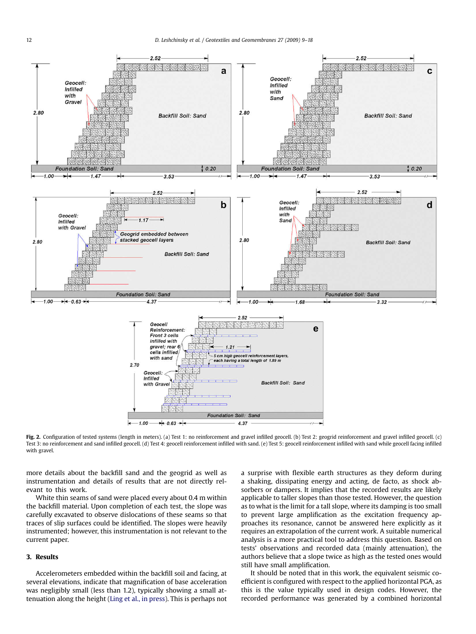<span id="page-3-0"></span>

Fig. 2. Configuration of tested systems (length in meters). (a) Test 1: no reinforcement and gravel infilled geocell. (b) Test 2: geogrid reinforcement and gravel infilled geocell. (c) Test 3: no reinforcement and sand infilled geocell. (d) Test 4: geocell reinforcement infilled with sand. (e) Test 5: geocell reinforcement infilled with sand while geocell facing infilled with gravel.

more details about the backfill sand and the geogrid as well as instrumentation and details of results that are not directly relevant to this work.

White thin seams of sand were placed every about 0.4 m within the backfill material. Upon completion of each test, the slope was carefully excavated to observe dislocations of these seams so that traces of slip surfaces could be identified. The slopes were heavily instrumented; however, this instrumentation is not relevant to the current paper.

# 3. Results

Accelerometers embedded within the backfill soil and facing, at several elevations, indicate that magnification of base acceleration was negligibly small (less than 1.2), typically showing a small attenuation along the height ([Ling et al., in press](#page-9-0)). This is perhaps not a surprise with flexible earth structures as they deform during a shaking, dissipating energy and acting, de facto, as shock absorbers or dampers. It implies that the recorded results are likely applicable to taller slopes than those tested. However, the question as to what is the limit for a tall slope, where its damping is too small to prevent large amplification as the excitation frequency approaches its resonance, cannot be answered here explicitly as it requires an extrapolation of the current work. A suitable numerical analysis is a more practical tool to address this question. Based on tests' observations and recorded data (mainly attenuation), the authors believe that a slope twice as high as the tested ones would still have small amplification.

It should be noted that in this work, the equivalent seismic coefficient is configured with respect to the applied horizontal PGA, as this is the value typically used in design codes. However, the recorded performance was generated by a combined horizontal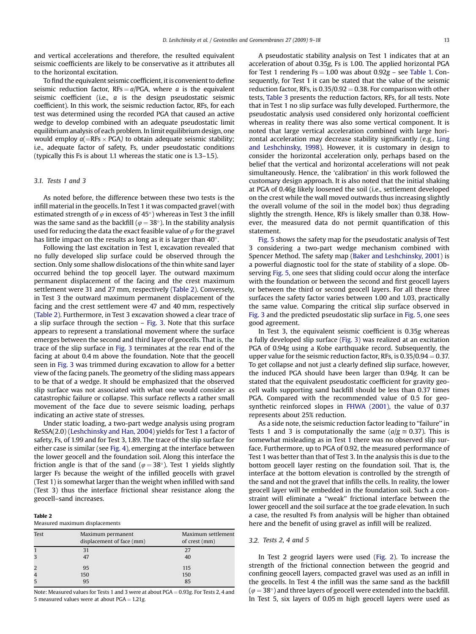<span id="page-4-0"></span>and vertical accelerations and therefore, the resulted equivalent seismic coefficients are likely to be conservative as it attributes all to the horizontal excitation.

To find the equivalent seismic coefficient, it is convenient to define seismic reduction factor,  $RFs = a/PGA$ , where a is the equivalent seismic coefficient (i.e., a is the design pseudostatic seismic coefficient). In this work, the seismic reduction factor, RFs, for each test was determined using the recorded PGA that caused an active wedge to develop combined with an adequate pseudostatic limit equilibrium analysis of each problem. In limit equilibrium design, one would employ  $a(=\text{RFs} \times \text{PGA})$  to obtain adequate seismic stability; i.e., adequate factor of safety, Fs, under pseudostatic conditions (typically this Fs is about 1.1 whereas the static one is 1.3–1.5).

### 3.1. Tests 1 and 3

As noted before, the difference between these two tests is the infill material in the geocells. In Test 1 it was compacted gravel (with estimated strength of  $\varphi$  in excess of 45°) whereas in Test 3 the infill was the same sand as the backfill ( $\varphi = 38^{\circ}$ ). In the stability analysis used for reducing the data the exact feasible value of  $\varphi$  for the gravel has little impact on the results as long as it is larger than  $40^{\circ}$ .

Following the last excitation in Test 1, excavation revealed that no fully developed slip surface could be observed through the section. Only some shallow dislocations of the thin white sand layer occurred behind the top geocell layer. The outward maximum permanent displacement of the facing and the crest maximum settlement were 31 and 27 mm, respectively (Table 2). Conversely, in Test 3 the outward maximum permanent displacement of the facing and the crest settlement were 47 and 40 mm, respectively (Table 2). Furthermore, in Test 3 excavation showed a clear trace of a slip surface through the section – [Fig. 3.](#page-5-0) Note that this surface appears to represent a translational movement where the surface emerges between the second and third layer of geocells. That is, the trace of the slip surface in [Fig. 3](#page-5-0) terminates at the rear end of the facing at about 0.4 m above the foundation. Note that the geocell seen in [Fig. 3](#page-5-0) was trimmed during excavation to allow for a better view of the facing panels. The geometry of the sliding mass appears to be that of a wedge. It should be emphasized that the observed slip surface was not associated with what one would consider as catastrophic failure or collapse. This surface reflects a rather small movement of the face due to severe seismic loading, perhaps indicating an active state of stresses.

Under static loading, a two-part wedge analysis using program ReSSA(2.0) [\(Leshchinsky and Han, 2004\)](#page-9-0) yields for Test 1 a factor of safety, Fs, of 1.99 and for Test 3, 1.89. The trace of the slip surface for either case is similar (see [Fig. 4\)](#page-5-0), emerging at the interface between the lower geocell and the foundation soil. Along this interface the friction angle is that of the sand ( $\varphi = 38^\circ$ ). Test 1 yields slightly larger Fs because the weight of the infilled geocells with gravel (Test 1) is somewhat larger than the weight when infilled with sand (Test 3) thus the interface frictional shear resistance along the geocell–sand increases.

#### Table 2

Measured maximum displacements

| Test | Maximum permanent<br>displacement of face (mm) | Maximum settlement<br>of crest (mm) |
|------|------------------------------------------------|-------------------------------------|
|      | 31                                             | 27                                  |
| 3    | 47                                             | 40                                  |
| 2    | 95                                             | 115                                 |
|      | 150                                            | 150                                 |
|      | 95                                             | 85                                  |

Note: Measured values for Tests 1 and 3 were at about  $PGA = 0.93g$ . For Tests 2, 4 and 5 measured values were at about  $PGA = 1.21g$ 

A pseudostatic stability analysis on Test 1 indicates that at an acceleration of about 0.35g, Fs is 1.00. The applied horizontal PGA for Test 1 rendering  $Fs = 1.00$  was about  $0.92g$  – see [Table 1.](#page-2-0) Consequently, for Test 1 it can be stated that the value of the seismic reduction factor, RFs, is  $0.35/0.92 = 0.38$ . For comparison with other tests, [Table 3](#page-5-0) presents the reduction factors, RFs, for all tests. Note that in Test 1 no slip surface was fully developed. Furthermore, the pseudostatic analysis used considered only horizontal coefficient whereas in reality there was also some vertical component. It is noted that large vertical acceleration combined with large horizontal acceleration may decrease stability significantly (e.g., [Ling](#page-9-0) [and Leshchinsky, 1998\)](#page-9-0). However, it is customary in design to consider the horizontal acceleration only, perhaps based on the belief that the vertical and horizontal accelerations will not peak simultaneously. Hence, the 'calibration' in this work followed the customary design approach. It is also noted that the initial shaking at PGA of 0.46g likely loosened the soil (i.e., settlement developed on the crest while the wall moved outwards thus increasing slightly the overall volume of the soil in the model box) thus degrading slightly the strength. Hence, RFs is likely smaller than 0.38. However, the measured data do not permit quantification of this statement.

[Fig. 5](#page-6-0) shows the safety map for the pseudostatic analysis of Test 3 considering a two-part wedge mechanism combined with Spencer Method. The safety map ([Baker and Leshchinsky, 2001](#page-9-0)) is a powerful diagnostic tool for the state of stability of a slope. Observing [Fig. 5,](#page-6-0) one sees that sliding could occur along the interface with the foundation or between the second and first geocell layers or between the third or second geocell layers. For all these three surfaces the safety factor varies between 1.00 and 1.03, practically the same value. Comparing the critical slip surface observed in [Fig. 3](#page-5-0) and the predicted pseudostatic slip surface in [Fig. 5](#page-6-0), one sees good agreement.

In Test 3, the equivalent seismic coefficient is 0.35g whereas a fully developed slip surface [\(Fig. 3](#page-5-0)) was realized at an excitation PGA of 0.94g using a Kobe earthquake record. Subsequently, the upper value for the seismic reduction factor, RFs, is  $0.35/0.94 = 0.37$ . To get collapse and not just a clearly defined slip surface, however, the induced PGA should have been larger than 0.94g. It can be stated that the equivalent pseudostatic coefficient for gravity geocell walls supporting sand backfill should be less than 0.37 times PGA. Compared with the recommended value of 0.5 for geosynthetic reinforced slopes in [FHWA \(2001\)](#page-9-0), the value of 0.37 represents about 25% reduction.

As a side note, the seismic reduction factor leading to ''failure'' in Tests 1 and 3 is computationally the same ( $a/g \approx 0.37$ ). This is somewhat misleading as in Test 1 there was no observed slip surface. Furthermore, up to PGA of 0.92, the measured performance of Test 1 was better than that of Test 3. In the analysis this is due to the bottom geocell layer resting on the foundation soil. That is, the interface at the bottom elevation is controlled by the strength of the sand and not the gravel that infills the cells. In reality, the lower geocell layer will be embedded in the foundation soil. Such a constraint will eliminate a ''weak'' frictional interface between the lower geocell and the soil surface at the toe grade elevation. In such a case, the resulted Fs from analysis will be higher than obtained here and the benefit of using gravel as infill will be realized.

### 3.2. Tests 2, 4 and 5

In Test 2 geogrid layers were used ([Fig. 2\)](#page-3-0). To increase the strength of the frictional connection between the geogrid and confining geocell layers, compacted gravel was used as an infill in the geocells. In Test 4 the infill was the same sand as the backfill ( $\varphi$  = 38 $^{\circ}$ ) and three layers of geocell were extended into the backfill. In Test 5, six layers of 0.05 m high geocell layers were used as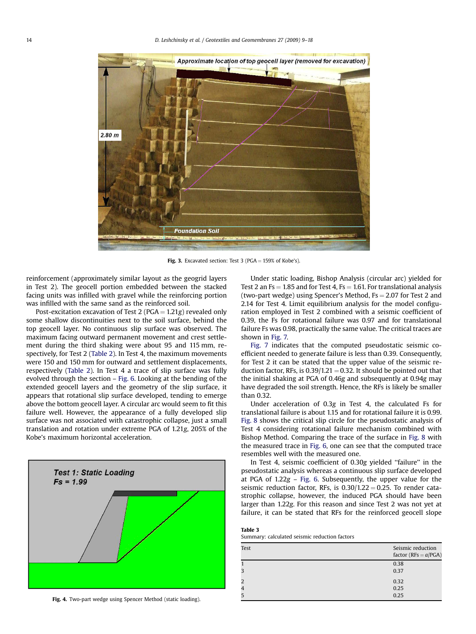<span id="page-5-0"></span>

Fig. 3. Excavated section: Test 3 (PGA =  $159\%$  of Kobe's).

reinforcement (approximately similar layout as the geogrid layers in Test 2). The geocell portion embedded between the stacked facing units was infilled with gravel while the reinforcing portion was infilled with the same sand as the reinforced soil.

Post-excitation excavation of Test 2 (PGA =  $1.21g$ ) revealed only some shallow discontinuities next to the soil surface, behind the top geocell layer. No continuous slip surface was observed. The maximum facing outward permanent movement and crest settlement during the third shaking were about 95 and 115 mm, respectively, for Test 2 [\(Table 2](#page-4-0)). In Test 4, the maximum movements were 150 and 150 mm for outward and settlement displacements, respectively ([Table 2\)](#page-4-0). In Test 4 a trace of slip surface was fully evolved through the section – [Fig. 6](#page-6-0). Looking at the bending of the extended geocell layers and the geometry of the slip surface, it appears that rotational slip surface developed, tending to emerge above the bottom geocell layer. A circular arc would seem to fit this failure well. However, the appearance of a fully developed slip surface was not associated with catastrophic collapse, just a small translation and rotation under extreme PGA of 1.21g, 205% of the Kobe's maximum horizontal acceleration.



Fig. 4. Two-part wedge using Spencer Method (static loading).

Under static loading, Bishop Analysis (circular arc) yielded for Test 2 an  $Fs = 1.85$  and for Test 4,  $Fs = 1.61$ . For translational analysis (two-part wedge) using Spencer's Method,  $Fs = 2.07$  for Test 2 and 2.14 for Test 4. Limit equilibrium analysis for the model configuration employed in Test 2 combined with a seismic coefficient of 0.39, the Fs for rotational failure was 0.97 and for translational failure Fs was 0.98, practically the same value. The critical traces are shown in [Fig. 7.](#page-7-0)

[Fig. 7](#page-7-0) indicates that the computed pseudostatic seismic coefficient needed to generate failure is less than 0.39. Consequently, for Test 2 it can be stated that the upper value of the seismic reduction factor, RFs, is  $0.39/1.21 = 0.32$ . It should be pointed out that the initial shaking at PGA of 0.46g and subsequently at 0.94g may have degraded the soil strength. Hence, the RFs is likely be smaller than 0.32.

Under acceleration of 0.3g in Test 4, the calculated Fs for translational failure is about 1.15 and for rotational failure it is 0.99. [Fig. 8](#page-7-0) shows the critical slip circle for the pseudostatic analysis of Test 4 considering rotational failure mechanism combined with Bishop Method. Comparing the trace of the surface in [Fig. 8](#page-7-0) with the measured trace in [Fig. 6](#page-6-0), one can see that the computed trace resembles well with the measured one.

In Test 4, seismic coefficient of 0.30g yielded ''failure'' in the pseudostatic analysis whereas a continuous slip surface developed at PGA of  $1.22g - Fig. 6$  $1.22g - Fig. 6$ . Subsequently, the upper value for the seismic reduction factor, RFs, is  $0.30/1.22 = 0.25$ . To render catastrophic collapse, however, the induced PGA should have been larger than 1.22g. For this reason and since Test 2 was not yet at failure, it can be stated that RFs for the reinforced geocell slope

Table 3

Summary: calculated seismic reduction factors

| Test           | Seismic reduction<br>factor (RFs = $a$ /PGA) |
|----------------|----------------------------------------------|
|                | 0.38                                         |
| 3              | 0.37                                         |
| 2              | 0.32                                         |
| $\overline{4}$ | 0.25                                         |
| 5              | 0.25                                         |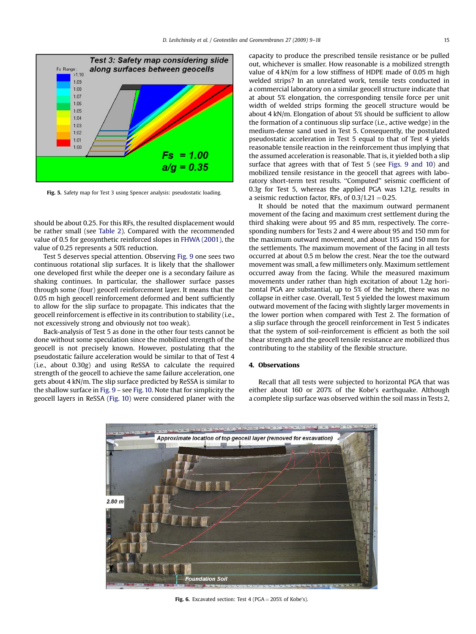<span id="page-6-0"></span>

Fig. 5. Safety map for Test 3 using Spencer analysis: pseudostatic loading.

should be about 0.25. For this RFs, the resulted displacement would be rather small (see [Table 2\)](#page-4-0). Compared with the recommended value of 0.5 for geosynthetic reinforced slopes in [FHWA \(2001\)](#page-9-0), the value of 0.25 represents a 50% reduction.

Test 5 deserves special attention. Observing [Fig. 9](#page-8-0) one sees two continuous rotational slip surfaces. It is likely that the shallower one developed first while the deeper one is a secondary failure as shaking continues. In particular, the shallower surface passes through some (four) geocell reinforcement layer. It means that the 0.05 m high geocell reinforcement deformed and bent sufficiently to allow for the slip surface to propagate. This indicates that the geocell reinforcement is effective in its contribution to stability (i.e., not excessively strong and obviously not too weak).

Back-analysis of Test 5 as done in the other four tests cannot be done without some speculation since the mobilized strength of the geocell is not precisely known. However, postulating that the pseudostatic failure acceleration would be similar to that of Test 4 (i.e., about 0.30g) and using ReSSA to calculate the required strength of the geocell to achieve the same failure acceleration, one gets about 4 kN/m. The slip surface predicted by ReSSA is similar to the shallow surface in [Fig. 9](#page-8-0) – see [Fig. 10.](#page-8-0) Note that for simplicity the geocell layers in ReSSA ([Fig. 10](#page-8-0)) were considered planer with the capacity to produce the prescribed tensile resistance or be pulled out, whichever is smaller. How reasonable is a mobilized strength value of 4 kN/m for a low stiffness of HDPE made of 0.05 m high welded strips? In an unrelated work, tensile tests conducted in a commercial laboratory on a similar geocell structure indicate that at about 5% elongation, the corresponding tensile force per unit width of welded strips forming the geocell structure would be about 4 kN/m. Elongation of about 5% should be sufficient to allow the formation of a continuous slip surface (i.e., active wedge) in the medium-dense sand used in Test 5. Consequently, the postulated pseudostatic acceleration in Test 5 equal to that of Test 4 yields reasonable tensile reaction in the reinforcement thus implying that the assumed acceleration is reasonable. That is, it yielded both a slip surface that agrees with that of Test 5 (see [Figs. 9 and 10\)](#page-8-0) and mobilized tensile resistance in the geocell that agrees with laboratory short-term test results. ''Computed'' seismic coefficient of 0.3g for Test 5, whereas the applied PGA was 1.21g, results in a seismic reduction factor, RFs, of  $0.3/1.21 = 0.25$ .

It should be noted that the maximum outward permanent movement of the facing and maximum crest settlement during the third shaking were about 95 and 85 mm, respectively. The corresponding numbers for Tests 2 and 4 were about 95 and 150 mm for the maximum outward movement, and about 115 and 150 mm for the settlements. The maximum movement of the facing in all tests occurred at about 0.5 m below the crest. Near the toe the outward movement was small, a few millimeters only. Maximum settlement occurred away from the facing. While the measured maximum movements under rather than high excitation of about 1.2g horizontal PGA are substantial, up to 5% of the height, there was no collapse in either case. Overall, Test 5 yielded the lowest maximum outward movement of the facing with slightly larger movements in the lower portion when compared with Test 2. The formation of a slip surface through the geocell reinforcement in Test 5 indicates that the system of soil-reinforcement is efficient as both the soil shear strength and the geocell tensile resistance are mobilized thus contributing to the stability of the flexible structure.

### 4. Observations

Recall that all tests were subjected to horizontal PGA that was either about 160 or 207% of the Kobe's earthquake. Although a complete slip surface was observed within the soil mass in Tests 2,



Fig. 6. Excavated section: Test 4 (PGA  $=$  205% of Kobe's).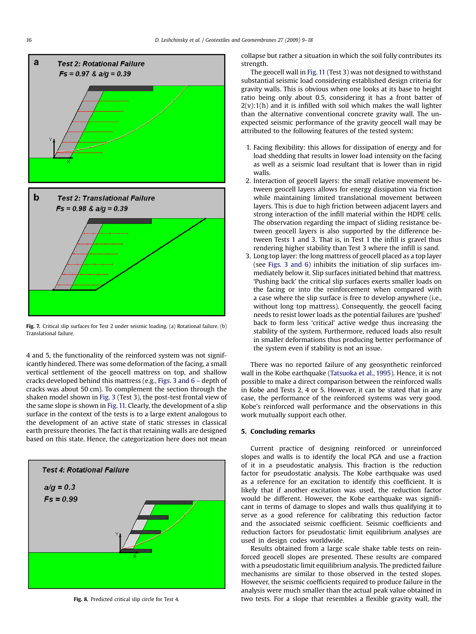<span id="page-7-0"></span>

Fig. 7. Critical slip surfaces for Test 2 under seismic loading. (a) Rotational failure. (b) Translational failure.

4 and 5, the functionality of the reinforced system was not significantly hindered. There was some deformation of the facing, a small vertical settlement of the geocell mattress on top, and shallow cracks developed behind this mattress (e.g., [Figs. 3 and 6](#page-5-0) – depth of cracks was about 50 cm). To complement the section through the shaken model shown in [Fig. 3](#page-5-0) (Test 3), the post-test frontal view of the same slope is shown in [Fig. 11.](#page-8-0) Clearly, the development of a slip surface in the context of the tests is to a large extent analogous to the development of an active state of static stresses in classical earth pressure theories. The fact is that retaining walls are designed based on this state. Hence, the categorization here does not mean



Fig. 8. Predicted critical slip circle for Test 4.

collapse but rather a situation in which the soil fully contributes its strength.

The geocell wall in [Fig. 11](#page-8-0) (Test 3) was not designed to withstand substantial seismic load considering established design criteria for gravity walls. This is obvious when one looks at its base to height ratio being only about 0.5, considering it has a front batter of  $2(v)$ :1(h) and it is infilled with soil which makes the wall lighter than the alternative conventional concrete gravity wall. The unexpected seismic performance of the gravity geocell wall may be attributed to the following features of the tested system:

- 1. Facing flexibility: this allows for dissipation of energy and for load shedding that results in lower load intensity on the facing as well as a seismic load resultant that is lower than in rigid walls.
- 2. Interaction of geocell layers: the small relative movement between geocell layers allows for energy dissipation via friction while maintaining limited translational movement between layers. This is due to high friction between adjacent layers and strong interaction of the infill material within the HDPE cells. The observation regarding the impact of sliding resistance between geocell layers is also supported by the difference between Tests 1 and 3. That is, in Test 1 the infill is gravel thus rendering higher stability than Test 3 where the infill is sand.
- 3. Long top layer: the long mattress of geocell placed as a top layer (see [Figs. 3 and 6](#page-5-0)) inhibits the initiation of slip surfaces immediately below it. Slip surfaces initiated behind that mattress. 'Pushing back' the critical slip surfaces exerts smaller loads on the facing or into the reinforcement when compared with a case where the slip surface is free to develop anywhere (i.e., without long top mattress). Consequently, the geocell facing needs to resist lower loads as the potential failures are 'pushed' back to form less 'critical' active wedge thus increasing the stability of the system. Furthermore, reduced loads also result in smaller deformations thus producing better performance of the system even if stability is not an issue.

There was no reported failure of any geosynthetic reinforced wall in the Kobe earthquake [\(Tatsuoka et al., 1995](#page-9-0)). Hence, it is not possible to make a direct comparison between the reinforced walls in Kobe and Tests 2, 4 or 5. However, it can be stated that in any case, the performance of the reinforced systems was very good. Kobe's reinforced wall performance and the observations in this work mutually support each other.

## 5. Concluding remarks

Current practice of designing reinforced or unreinforced slopes and walls is to identify the local PGA and use a fraction of it in a pseudostatic analysis. This fraction is the reduction factor for pseudostatic analysis. The Kobe earthquake was used as a reference for an excitation to identify this coefficient. It is likely that if another excitation was used, the reduction factor would be different. However, the Kobe earthquake was significant in terms of damage to slopes and walls thus qualifying it to serve as a good reference for calibrating this reduction factor and the associated seismic coefficient. Seismic coefficients and reduction factors for pseudostatic limit equilibrium analyses are used in design codes worldwide.

Results obtained from a large scale shake table tests on reinforced geocell slopes are presented. These results are compared with a pseudostatic limit equilibrium analysis. The predicted failure mechanisms are similar to those observed in the tested slopes. However, the seismic coefficients required to produce failure in the analysis were much smaller than the actual peak value obtained in two tests. For a slope that resembles a flexible gravity wall, the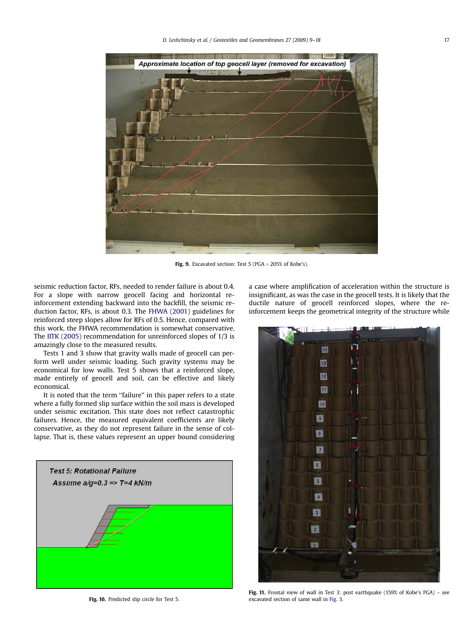<span id="page-8-0"></span>

Fig. 9. Excavated section: Test 5 ( $PGA = 205\%$  of Kobe's).

seismic reduction factor, RFs, needed to render failure is about 0.4. For a slope with narrow geocell facing and horizontal reinforcement extending backward into the backfill, the seismic reduction factor, RFs, is about 0.3. The [FHWA \(2001\)](#page-9-0) guidelines for reinforced steep slopes allow for RFs of 0.5. Hence, compared with this work, the FHWA recommendation is somewhat conservative. The [IITK \(2005\)](#page-9-0) recommendation for unreinforced slopes of 1/3 is amazingly close to the measured results.

Tests 1 and 3 show that gravity walls made of geocell can perform well under seismic loading. Such gravity systems may be economical for low walls. Test 5 shows that a reinforced slope, made entirely of geocell and soil, can be effective and likely economical.

It is noted that the term ''failure'' in this paper refers to a state where a fully formed slip surface within the soil mass is developed under seismic excitation. This state does not reflect catastrophic failures. Hence, the measured equivalent coefficients are likely conservative, as they do not represent failure in the sense of collapse. That is, these values represent an upper bound considering



Fig. 10. Predicted slip circle for Test 5.

a case where amplification of acceleration within the structure is insignificant, as was the case in the geocell tests. It is likely that the ductile nature of geocell reinforced slopes, where the reinforcement keeps the geometrical integrity of the structure while

ГI 14 回 12 圓 10  $\boxed{2}$  $\overline{\phantom{a}}$ 团  $6$  $\boxed{5}$  $\sqrt{4}$  $\sqrt{3}$  $\vert$  2 階

Fig. 11. Frontal view of wall in Test 3: post earthquake (159% of Kobe's PGA) – see excavated section of same wall in [Fig. 3](#page-5-0).